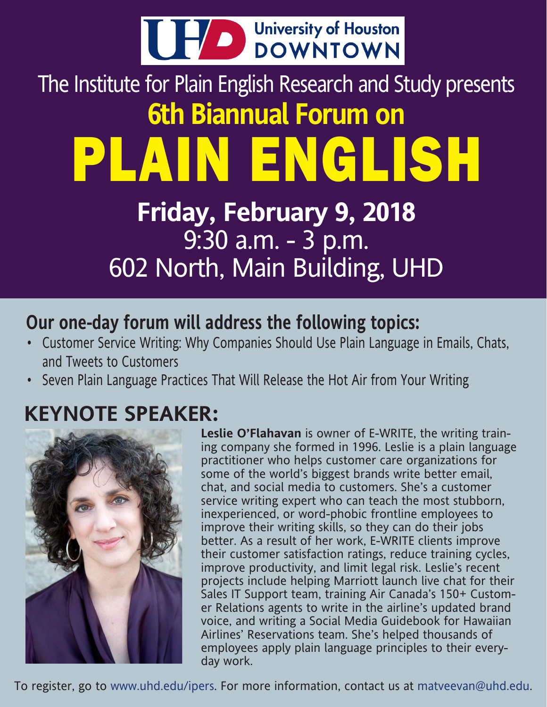

## The Institute for Plain English Research and Study presents **6th Biannual Forum on**  PLAIN ENGLISH

## **Friday, February 9, 2018** 9:30 a.m. - 3 p.m. 602 North, Main Building, UHD

### **Our one-day forum will address the following topics:**

- Customer Service Writing: Why Companies Should Use Plain Language in Emails, Chats, and Tweets to Customers
- Seven Plain Language Practices That Will Release the Hot Air from Your Writing

## **KEYNOTE SPEAKER:**



**Leslie O'Flahavan** is owner of E-WRITE, the writing training company she formed in 1996. Leslie is a plain language practitioner who helps customer care organizations for some of the world's biggest brands write better email, chat, and social media to customers. She's a customer service writing expert who can teach the most stubborn, inexperienced, or word-phobic frontline employees to improve their writing skills, so they can do their jobs better. As a result of her work, E-WRITE clients improve their customer satisfaction ratings, reduce training cycles, improve productivity, and limit legal risk. Leslie's recent projects include helping Marriott launch live chat for their Sales IT Support team, training Air Canada's 150+ Customer Relations agents to write in the airline's updated brand voice, and writing a Social Media Guidebook for Hawaiian Airlines' Reservations team. She's helped thousands of employees apply plain language principles to their everyday work.

To register, go to www.uhd.edu/ipers. For more information, contact us at matveevan@uhd.edu.